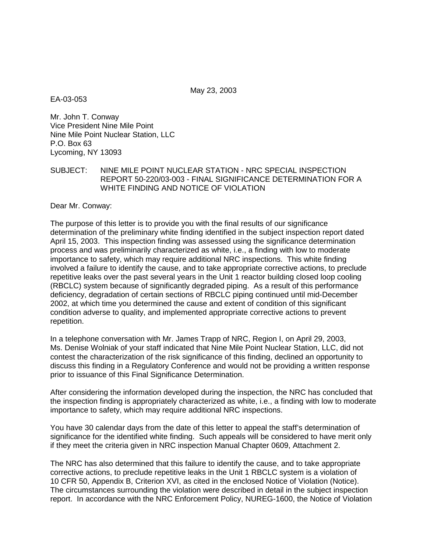May 23, 2003

EA-03-053

Mr. John T. Conway Vice President Nine Mile Point Nine Mile Point Nuclear Station, LLC P.O. Box 63 Lycoming, NY 13093

SUBJECT: NINE MILE POINT NUCLEAR STATION - NRC SPECIAL INSPECTION REPORT 50-220/03-003 - FINAL SIGNIFICANCE DETERMINATION FOR A WHITE FINDING AND NOTICE OF VIOLATION

Dear Mr. Conway:

The purpose of this letter is to provide you with the final results of our significance determination of the preliminary white finding identified in the subject inspection report dated April 15, 2003. This inspection finding was assessed using the significance determination process and was preliminarily characterized as white, i.e., a finding with low to moderate importance to safety, which may require additional NRC inspections. This white finding involved a failure to identify the cause, and to take appropriate corrective actions, to preclude repetitive leaks over the past several years in the Unit 1 reactor building closed loop cooling (RBCLC) system because of significantly degraded piping. As a result of this performance deficiency, degradation of certain sections of RBCLC piping continued until mid-December 2002, at which time you determined the cause and extent of condition of this significant condition adverse to quality, and implemented appropriate corrective actions to prevent repetition.

In a telephone conversation with Mr. James Trapp of NRC, Region I, on April 29, 2003, Ms. Denise Wolniak of your staff indicated that Nine Mile Point Nuclear Station, LLC, did not contest the characterization of the risk significance of this finding, declined an opportunity to discuss this finding in a Regulatory Conference and would not be providing a written response prior to issuance of this Final Significance Determination.

After considering the information developed during the inspection, the NRC has concluded that the inspection finding is appropriately characterized as white, i.e., a finding with low to moderate importance to safety, which may require additional NRC inspections.

You have 30 calendar days from the date of this letter to appeal the staff's determination of significance for the identified white finding. Such appeals will be considered to have merit only if they meet the criteria given in NRC inspection Manual Chapter 0609, Attachment 2.

The NRC has also determined that this failure to identify the cause, and to take appropriate corrective actions, to preclude repetitive leaks in the Unit 1 RBCLC system is a violation of 10 CFR 50, Appendix B, Criterion XVI, as cited in the enclosed Notice of Violation (Notice). The circumstances surrounding the violation were described in detail in the subject inspection report. In accordance with the NRC Enforcement Policy, NUREG-1600, the Notice of Violation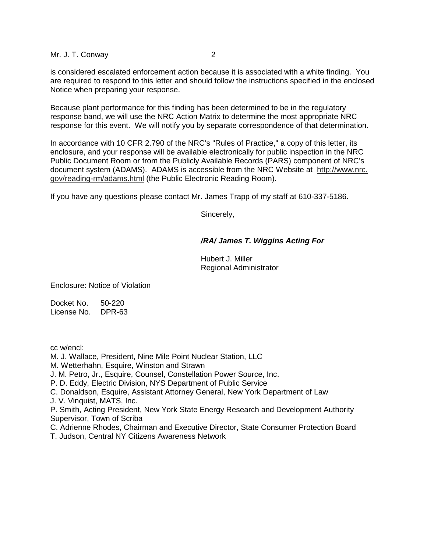Mr. J. T. Conway 2

is considered escalated enforcement action because it is associated with a white finding. You are required to respond to this letter and should follow the instructions specified in the enclosed Notice when preparing your response.

Because plant performance for this finding has been determined to be in the regulatory response band, we will use the NRC Action Matrix to determine the most appropriate NRC response for this event. We will notify you by separate correspondence of that determination.

In accordance with 10 CFR 2.790 of the NRC's "Rules of Practice," a copy of this letter, its enclosure, and your response will be available electronically for public inspection in the NRC Public Document Room or from the Publicly Available Records (PARS) component of NRC's document system (ADAMS). ADAMS is accessible from the NRC Website at http://www.nrc. gov/reading-rm/adams.html (the Public Electronic Reading Room).

If you have any questions please contact Mr. James Trapp of my staff at 610-337-5186.

Sincerely,

## **/RA/ James T. Wiggins Acting For**

Hubert J. Miller Regional Administrator

Enclosure: Notice of Violation

Docket No. 50-220 License No. DPR-63

cc w/encl:

- M. J. Wallace, President, Nine Mile Point Nuclear Station, LLC
- M. Wetterhahn, Esquire, Winston and Strawn
- J. M. Petro, Jr., Esquire, Counsel, Constellation Power Source, Inc.
- P. D. Eddy, Electric Division, NYS Department of Public Service
- C. Donaldson, Esquire, Assistant Attorney General, New York Department of Law

J. V. Vinquist, MATS, Inc.

P. Smith, Acting President, New York State Energy Research and Development Authority Supervisor, Town of Scriba

- C. Adrienne Rhodes, Chairman and Executive Director, State Consumer Protection Board
- T. Judson, Central NY Citizens Awareness Network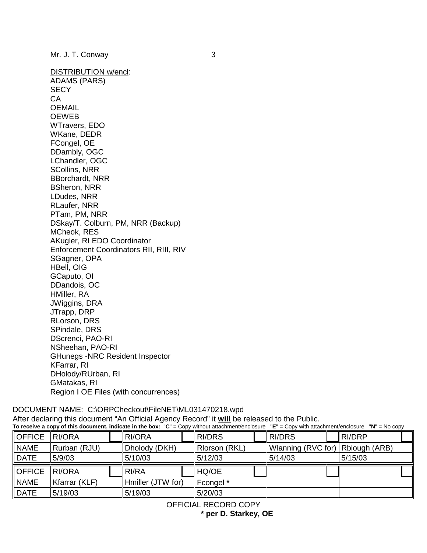DISTRIBUTION w/encl: ADAMS (PARS) **SECY** CA OEMAIL OEWEB WTravers, EDO WKane, DEDR FCongel, OE DDambly, OGC LChandler, OGC SCollins, NRR BBorchardt, NRR BSheron, NRR LDudes, NRR RLaufer, NRR PTam, PM, NRR DSkay/T. Colburn, PM, NRR (Backup) MCheok, RES AKugler, RI EDO Coordinator Enforcement Coordinators RII, RIII, RIV SGagner, OPA HBell, OIG GCaputo, OI DDandois, OC HMiller, RA JWiggins, DRA JTrapp, DRP RLorson, DRS SPindale, DRS DScrenci, PAO-RI NSheehan, PAO-RI GHunegs -NRC Resident Inspector KFarrar, RI DHolody/RUrban, RI GMatakas, RI Region I OE Files (with concurrences)

DOCUMENT NAME: C:\ORPCheckout\FileNET\ML031470218.wpd After declaring this document "An Official Agency Record" it **will** be released to the Public. **To receive a copy of this document, indicate in the box:** "**C**" = Copy without attachment/enclosure "**E**" = Copy with attachment/enclosure "**N**" = No copy

| OFFICE        | RI/ORA        |  | <b>RI/ORA</b>     |  | <b>RI/DRS</b> |  | <b>RI/DRS</b>                    | <b>RI/DRP</b> |  |
|---------------|---------------|--|-------------------|--|---------------|--|----------------------------------|---------------|--|
| <b>NAME</b>   | Rurban (RJU)  |  | Dholody (DKH)     |  | Rlorson (RKL) |  | Wlanning (RVC for) Rblough (ARB) |               |  |
| DATE          | 5/9/03        |  | 5/10/03           |  | 5/12/03       |  | 5/14/03                          | 5/15/03       |  |
| <b>OFFICE</b> | RI/ORA        |  | RI/RA             |  | HQ/OE         |  |                                  |               |  |
| <b>NAME</b>   | Kfarrar (KLF) |  | Hmiller (JTW for) |  | Fcongel *     |  |                                  |               |  |
| DATE          | 5/19/03       |  | 5/19/03           |  | 5/20/03       |  |                                  |               |  |

OFFICIAL RECORD COPY

**\* per D. Starkey, OE**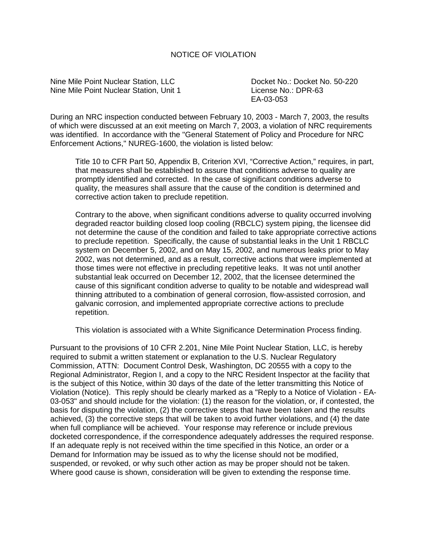## NOTICE OF VIOLATION

Nine Mile Point Nuclear Station, LLC Docket No.: Docket No. 50-220 Nine Mile Point Nuclear Station, Unit 1 License No.: DPR-63

EA-03-053

During an NRC inspection conducted between February 10, 2003 - March 7, 2003, the results of which were discussed at an exit meeting on March 7, 2003, a violation of NRC requirements was identified. In accordance with the "General Statement of Policy and Procedure for NRC Enforcement Actions," NUREG-1600, the violation is listed below:

Title 10 to CFR Part 50, Appendix B, Criterion XVI, "Corrective Action," requires, in part, that measures shall be established to assure that conditions adverse to quality are promptly identified and corrected. In the case of significant conditions adverse to quality, the measures shall assure that the cause of the condition is determined and corrective action taken to preclude repetition.

Contrary to the above, when significant conditions adverse to quality occurred involving degraded reactor building closed loop cooling (RBCLC) system piping, the licensee did not determine the cause of the condition and failed to take appropriate corrective actions to preclude repetition. Specifically, the cause of substantial leaks in the Unit 1 RBCLC system on December 5, 2002, and on May 15, 2002, and numerous leaks prior to May 2002, was not determined, and as a result, corrective actions that were implemented at those times were not effective in precluding repetitive leaks. It was not until another substantial leak occurred on December 12, 2002, that the licensee determined the cause of this significant condition adverse to quality to be notable and widespread wall thinning attributed to a combination of general corrosion, flow-assisted corrosion, and galvanic corrosion, and implemented appropriate corrective actions to preclude repetition.

This violation is associated with a White Significance Determination Process finding.

Pursuant to the provisions of 10 CFR 2.201, Nine Mile Point Nuclear Station, LLC, is hereby required to submit a written statement or explanation to the U.S. Nuclear Regulatory Commission, ATTN: Document Control Desk, Washington, DC 20555 with a copy to the Regional Administrator, Region I, and a copy to the NRC Resident Inspector at the facility that is the subject of this Notice, within 30 days of the date of the letter transmitting this Notice of Violation (Notice). This reply should be clearly marked as a "Reply to a Notice of Violation - EA-03-053" and should include for the violation: (1) the reason for the violation, or, if contested, the basis for disputing the violation, (2) the corrective steps that have been taken and the results achieved, (3) the corrective steps that will be taken to avoid further violations, and (4) the date when full compliance will be achieved. Your response may reference or include previous docketed correspondence, if the correspondence adequately addresses the required response. If an adequate reply is not received within the time specified in this Notice, an order or a Demand for Information may be issued as to why the license should not be modified, suspended, or revoked, or why such other action as may be proper should not be taken. Where good cause is shown, consideration will be given to extending the response time.